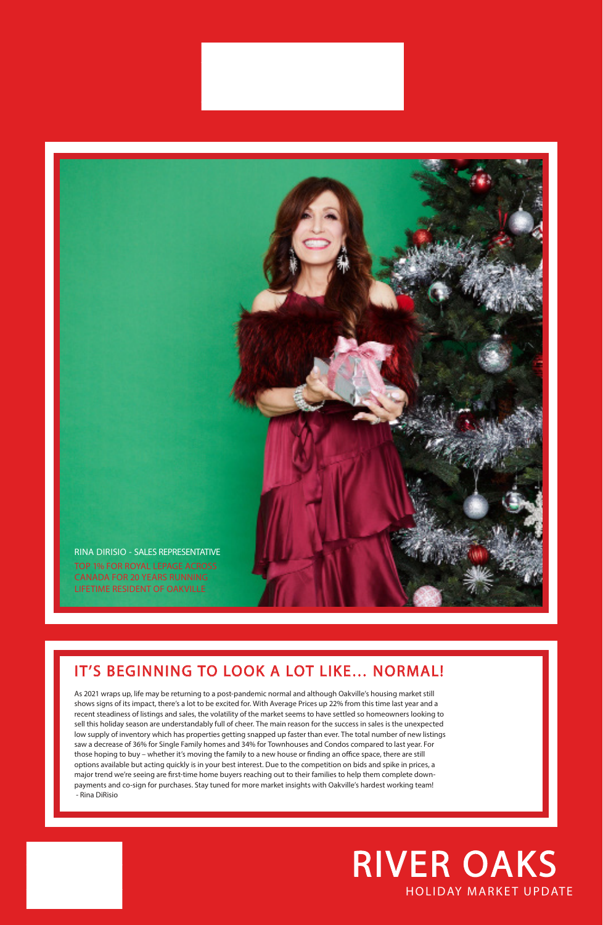## HOLIDAY MARKET UPDATE RIVER OAKS

## IT'S BEGINNING TO LOOK A LOT LIKE… NORMAL!

As 2021 wraps up, life may be returning to a post-pandemic normal and although Oakville's housing market still

shows signs of its impact, there's a lot to be excited for. With Average Prices up 22% from this time last year and a recent steadiness of listings and sales, the volatility of the market seems to have settled so homeowners looking to sell this holiday season are understandably full of cheer. The main reason for the success in sales is the unexpected low supply of inventory which has properties getting snapped up faster than ever. The total number of new listings saw a decrease of 36% for Single Family homes and 34% for Townhouses and Condos compared to last year. For those hoping to buy – whether it's moving the family to a new house or finding an office space, there are still options available but acting quickly is in your best interest. Due to the competition on bids and spike in prices, a major trend we're seeing are first-time home buyers reaching out to their families to help them complete downpayments and co-sign for purchases. Stay tuned for more market insights with Oakville's hardest working team! - Rina DiRisio